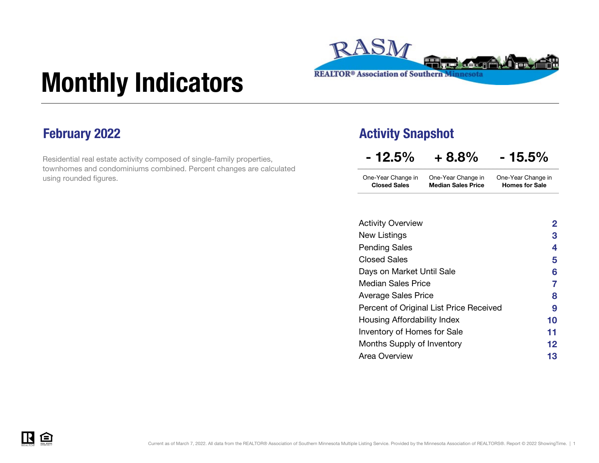

# Monthly Indicators

Residential real estate activity composed of single-family properties, townhomes and condominiums combined. Percent changes are calculated using rounded figures.

### February 2022 **Activity Snapshot**

One-Year Change in One-Year Change in  $-12.5\% + 8.8\% - 15.5\%$ One-Year Change in

| .                   | .                         | .                     |
|---------------------|---------------------------|-----------------------|
| <b>Closed Sales</b> | <b>Median Sales Price</b> | <b>Homes for Sale</b> |
|                     |                           |                       |

| <b>Activity Overview</b>                | $\mathbf{2}$ |
|-----------------------------------------|--------------|
| New Listings                            | 3            |
| <b>Pending Sales</b>                    | 4            |
| <b>Closed Sales</b>                     | 5            |
| Days on Market Until Sale               | 6            |
| <b>Median Sales Price</b>               | 7            |
| Average Sales Price                     | 8            |
| Percent of Original List Price Received | 9            |
| Housing Affordability Index             | 10           |
| <b>Inventory of Homes for Sale</b>      | 11           |
| Months Supply of Inventory              | 12           |
| Area Overview                           | 13           |
|                                         |              |



.<br>mm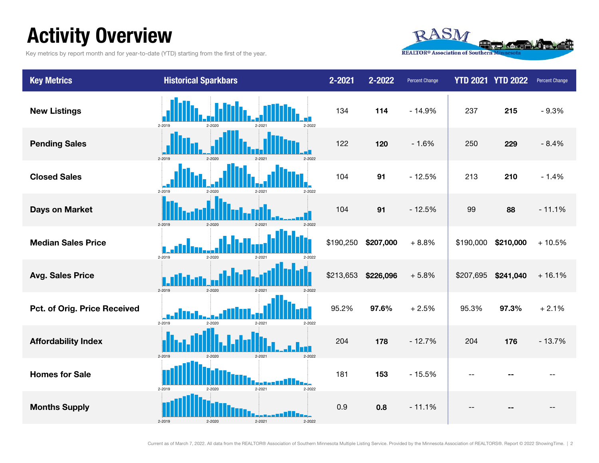### Activity Overview

Key metrics by report month and for year-to-date (YTD) starting from the first of the year.



| <b>Key Metrics</b>           | <b>Historical Sparkbars</b>              | 2-2021    | 2-2022    | <b>Percent Change</b> |           | <b>YTD 2021 YTD 2022</b> | Percent Change |
|------------------------------|------------------------------------------|-----------|-----------|-----------------------|-----------|--------------------------|----------------|
| <b>New Listings</b>          | 2-2019<br>2-2022                         | 134       | 114       | $-14.9%$              | 237       | 215                      | $-9.3%$        |
| <b>Pending Sales</b>         | 2-2019<br>$2 - 2021$                     | 122       | 120       | $-1.6%$               | 250       | 229                      | $-8.4%$        |
| <b>Closed Sales</b>          | 2-2019<br>2-2021<br>2-2022               | 104       | 91        | $-12.5%$              | 213       | 210                      | $-1.4%$        |
| <b>Days on Market</b>        | 2-2019<br>$2 - 2020$<br>$2 - 202$        | 104       | 91        | $-12.5%$              | 99        | 88                       | $-11.1%$       |
| <b>Median Sales Price</b>    | 2-2019<br>2-2020<br>2-2021<br>2-2022     | \$190,250 | \$207,000 | $+8.8%$               | \$190,000 | \$210,000                | $+10.5%$       |
| <b>Avg. Sales Price</b>      | 2-2019<br>$2 - 2020$                     | \$213,653 | \$226,096 | $+5.8%$               | \$207,695 | \$241,040                | $+16.1%$       |
| Pct. of Orig. Price Received | 2-2019<br>2-2022<br>2-2020<br>2-2021     | 95.2%     | 97.6%     | $+2.5%$               | 95.3%     | 97.3%                    | $+2.1%$        |
| <b>Affordability Index</b>   | $2 - 2015$                               | 204       | 178       | $-12.7%$              | 204       | 176                      | $-13.7%$       |
| <b>Homes for Sale</b>        | $2 - 2021$<br>2-2022<br>2-2019<br>2-2020 | 181       | 153       | $-15.5%$              |           |                          |                |
| <b>Months Supply</b>         | $2 - 2021$<br>2-2019<br>$2 - 2022$       | 0.9       | 0.8       | $-11.1%$              |           |                          |                |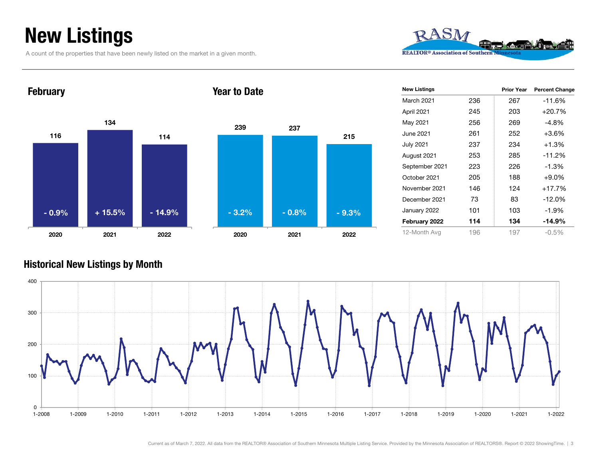### New Listings

A count of the properties that have been newly listed on the market in a given month.



1161341142020 2021 2022 February 2392020Year to Date- 0.9%



| <b>New Listings</b> |     | <b>Prior Year</b> | <b>Percent Change</b> |
|---------------------|-----|-------------------|-----------------------|
| March 2021          | 236 | 267               | $-11.6%$              |
| April 2021          | 245 | 203               | $+20.7%$              |
| May 2021            | 256 | 269               | $-4.8\%$              |
| June 2021           | 261 | 252               | $+3.6%$               |
| July 2021           | 237 | 234               | $+1.3%$               |
| August 2021         | 253 | 285               | $-11.2%$              |
| September 2021      | 223 | 226               | $-1.3%$               |
| October 2021        | 205 | 188               | $+9.0\%$              |
| November 2021       | 146 | 124               | +17.7%                |
| December 2021       | 73  | 83                | $-12.0%$              |
| January 2022        | 101 | 103               | $-1.9%$               |
| February 2022       | 114 | 134               | $-14.9%$              |
| 12-Month Avg        | 196 | 197               | $-0.5\%$              |

#### Historical New Listings by Month



Current as of March 7, 2022. All data from the REALTOR® Association of Southern Minnesota Multiple Listing Service. Provided by the Minnesota Association of REALTORS®. Report © 2022 ShowingTime. | 3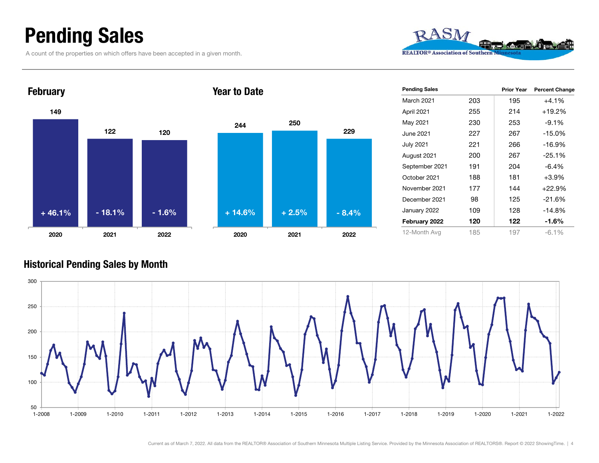### Pending Sales

A count of the properties on which offers have been accepted in a given month.









| <b>Pending Sales</b> |     | <b>Prior Year</b> | <b>Percent Change</b> |
|----------------------|-----|-------------------|-----------------------|
| <b>March 2021</b>    | 203 | 195               | +4.1%                 |
| April 2021           | 255 | 214               | +19.2%                |
| May 2021             | 230 | 253               | $-9.1%$               |
| June 2021            | 227 | 267               | $-15.0%$              |
| July 2021            | 221 | 266               | $-16.9%$              |
| August 2021          | 200 | 267               | $-25.1%$              |
| September 2021       | 191 | 204               | $-6.4%$               |
| October 2021         | 188 | 181               | $+3.9%$               |
| November 2021        | 177 | 144               | $+22.9%$              |
| December 2021        | 98  | 125               | $-21.6%$              |
| January 2022         | 109 | 128               | $-14.8%$              |
| February 2022        | 120 | 122               | $-1.6%$               |
| 12-Month Avg         | 185 | 197               | $-6.1\%$              |

#### Historical Pending Sales by Month

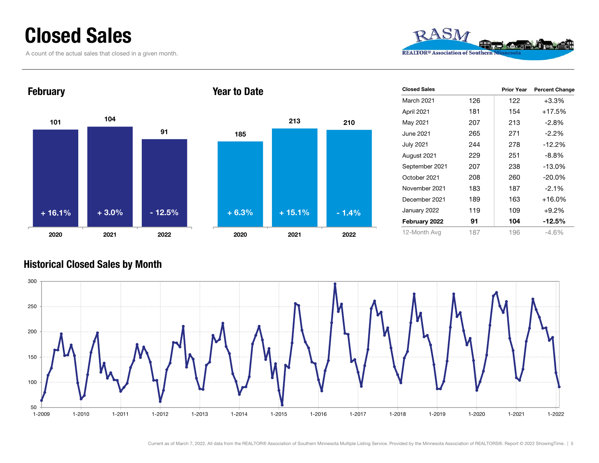### Closed Sales

A count of the actual sales that closed in a given month.



#### February



#### Year to Date



| <b>Closed Sales</b> |     | <b>Prior Year</b> | <b>Percent Change</b> |
|---------------------|-----|-------------------|-----------------------|
| <b>March 2021</b>   | 126 | 122               | $+3.3%$               |
| April 2021          | 181 | 154               | $+17.5%$              |
| May 2021            | 207 | 213               | $-2.8%$               |
| June 2021           | 265 | 271               | $-2.2\%$              |
| July 2021           | 244 | 278               | $-12.2%$              |
| August 2021         | 229 | 251               | $-8.8%$               |
| September 2021      | 207 | 238               | $-13.0%$              |
| October 2021        | 208 | 260               | $-20.0\%$             |
| November 2021       | 183 | 187               | $-2.1%$               |
| December 2021       | 189 | 163               | $+16.0\%$             |
| January 2022        | 119 | 109               | $+9.2%$               |
| February 2022       | 91  | 104               | $-12.5%$              |
| 12-Month Avg        | 187 | 196               | -4.6%                 |

#### Historical Closed Sales by Month

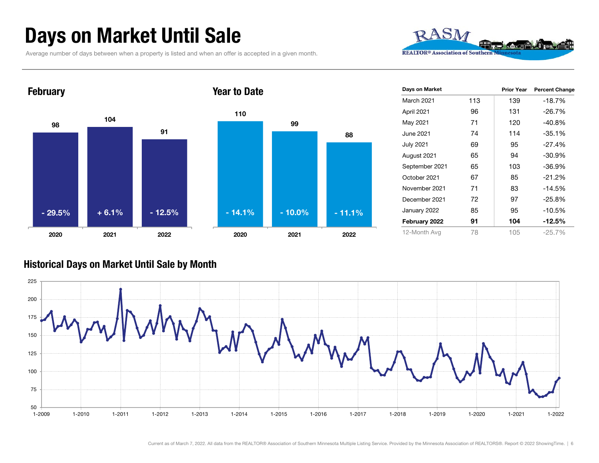### Days on Market Until Sale

Average number of days between when a property is listed and when an offer is accepted in a given month.





| Days on Market |     | <b>Prior Year</b> | <b>Percent Change</b> |
|----------------|-----|-------------------|-----------------------|
| March 2021     | 113 | 139               | $-18.7%$              |
| April 2021     | 96  | 131               | $-26.7%$              |
| May 2021       | 71  | 120               | -40.8%                |
| June 2021      | 74  | 114               | $-35.1%$              |
| July 2021      | 69  | 95                | $-27.4%$              |
| August 2021    | 65  | 94                | $-30.9%$              |
| September 2021 | 65  | 103               | $-36.9%$              |
| October 2021   | 67  | 85                | $-21.2%$              |
| November 2021  | 71  | 83                | $-14.5%$              |
| December 2021  | 72  | 97                | $-25.8%$              |
| January 2022   | 85  | 95                | $-10.5%$              |
| February 2022  | 91  | 104               | $-12.5\%$             |
| 12-Month Avg   | 78  | 105               | $-25.7%$              |

#### Historical Days on Market Until Sale by Month

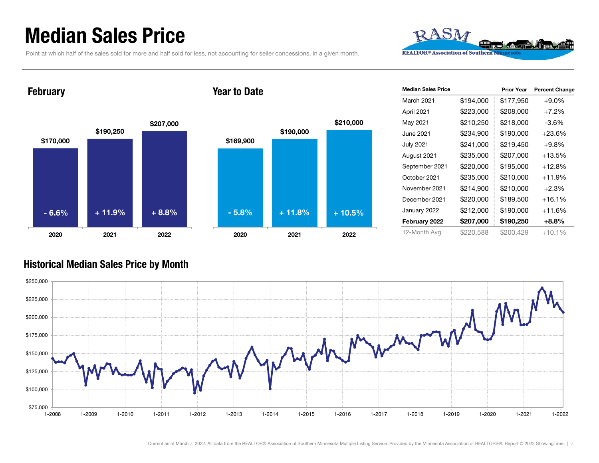### Median Sales Price

Point at which half of the sales sold for more and half sold for less, not accounting for seller concessions, in a given month.



**February** 

#### Year to Date



| <b>Median Sales Price</b> |           | <b>Prior Year</b> | <b>Percent Change</b> |
|---------------------------|-----------|-------------------|-----------------------|
| March 2021                | \$194,000 | \$177,950         | $+9.0%$               |
| April 2021                | \$223,000 | \$208,000         | $+7.2\%$              |
| May 2021                  | \$210,250 | \$218,000         | $-3.6\%$              |
| June 2021                 | \$234,900 | \$190,000         | +23.6%                |
| <b>July 2021</b>          | \$241,000 | \$219,450         | $+9.8%$               |
| August 2021               | \$235,000 | \$207,000         | +13.5%                |
| September 2021            | \$220,000 | \$195,000         | +12.8%                |
| October 2021              | \$235,000 | \$210,000         | +11.9%                |
| November 2021             | \$214,900 | \$210,000         | $+2.3%$               |
| December 2021             | \$220,000 | \$189,500         | +16.1%                |
| January 2022              | \$212,000 | \$190,000         | +11.6%                |
| February 2022             | \$207,000 | \$190,250         | $+8.8%$               |
| 12-Month Avg              | \$220,588 | \$200,429         | $+10.1%$              |

#### Historical Median Sales Price by Month

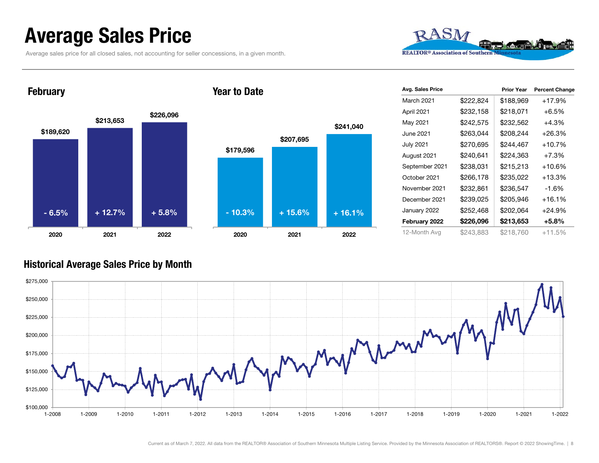### Average Sales Price

Average sales price for all closed sales, not accounting for seller concessions, in a given month.



**February** 

#### Year to Date



| Avg. Sales Price |           | <b>Prior Year</b> | <b>Percent Change</b> |
|------------------|-----------|-------------------|-----------------------|
| March 2021       | \$222,824 | \$188,969         | $+17.9%$              |
| April 2021       | \$232,158 | \$218,071         | $+6.5%$               |
| May 2021         | \$242,575 | \$232,562         | +4.3%                 |
| June 2021        | \$263,044 | \$208,244         | +26.3%                |
| <b>July 2021</b> | \$270,695 | \$244,467         | $+10.7%$              |
| August 2021      | \$240,641 | \$224,363         | $+7.3%$               |
| September 2021   | \$238,031 | \$215,213         | +10.6%                |
| October 2021     | \$266,178 | \$235,022         | $+13.3%$              |
| November 2021    | \$232,861 | \$236,547         | -1.6%                 |
| December 2021    | \$239,025 | \$205,946         | $+16.1%$              |
| January 2022     | \$252,468 | \$202,064         | $+24.9%$              |
| February 2022    | \$226,096 | \$213,653         | +5.8%                 |
| 12-Month Avg     | \$243,883 | \$218,760         | +11.5%                |

#### Historical Average Sales Price by Month

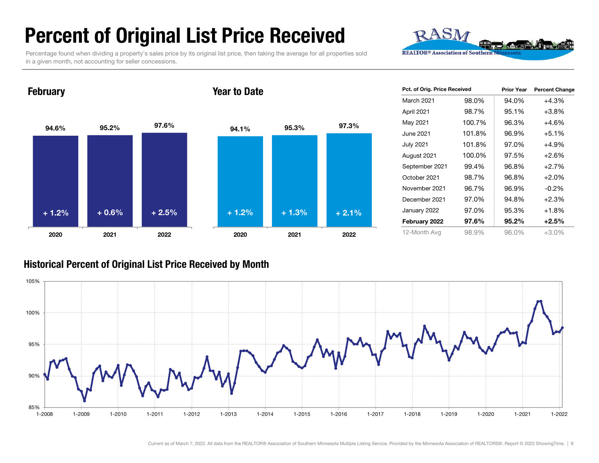### Percent of Original List Price Received

Percentage found when dividing a property's sales price by its original list price, then taking the average for all properties sold in a given month, not accounting for seller concessions.



94.6% 95.2% 97.6% 2020 2021 2022 94.1% 95.3% 97.3% 2020 2021 2022 Year to Date+ 1.2% $\%$  + 0.6% + 2.5% + 1.2% + 1.3% + 2.1%

| Pct. of Orig. Price Received |        | <b>Prior Year</b> | <b>Percent Change</b> |
|------------------------------|--------|-------------------|-----------------------|
| <b>March 2021</b>            | 98.0%  | 94.0%             | $+4.3%$               |
| April 2021                   | 98.7%  | 95.1%             | $+3.8%$               |
| May 2021                     | 100.7% | 96.3%             | $+4.6%$               |
| June 2021                    | 101.8% | 96.9%             | $+5.1%$               |
| <b>July 2021</b>             | 101.8% | 97.0%             | +4.9%                 |
| August 2021                  | 100.0% | 97.5%             | $+2.6%$               |
| September 2021               | 99.4%  | 96.8%             | $+2.7%$               |
| October 2021                 | 98.7%  | 96.8%             | $+2.0%$               |
| November 2021                | 96.7%  | 96.9%             | $-0.2\%$              |
| December 2021                | 97.0%  | 94.8%             | $+2.3%$               |
| January 2022                 | 97.0%  | 95.3%             | $+1.8%$               |
| February 2022                | 97.6%  | 95.2%             | $+2.5%$               |
| 12-Month Avg                 | 98.9%  | 96.0%             | +3.0%                 |

#### Historical Percent of Original List Price Received by Month



#### **February**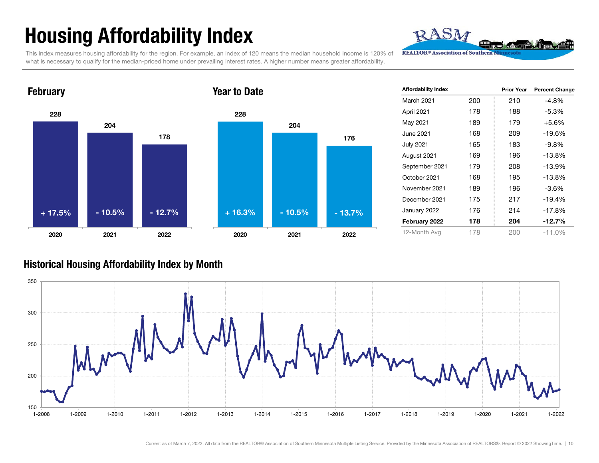## Housing Affordability Index

This index measures housing affordability for the region. For example, an index of 120 means the median household income is 120% of what is necessary to qualify for the median-priced home under prevailing interest rates. A higher number means greater affordability.





| <b>Affordability Index</b> |     | <b>Prior Year</b> | <b>Percent Change</b> |
|----------------------------|-----|-------------------|-----------------------|
|                            |     |                   |                       |
| March 2021                 | 200 | 210               | -4.8%                 |
| April 2021                 | 178 | 188               | -5.3%                 |
| May 2021                   | 189 | 179               | $+5.6%$               |
| June 2021                  | 168 | 209               | $-19.6%$              |
| <b>July 2021</b>           | 165 | 183               | -9.8%                 |
| August 2021                | 169 | 196               | $-13.8%$              |
| September 2021             | 179 | 208               | $-13.9%$              |
| October 2021               | 168 | 195               | $-13.8%$              |
| November 2021              | 189 | 196               | $-3.6%$               |
| December 2021              | 175 | 217               | $-19.4%$              |
| January 2022               | 176 | 214               | $-17.8%$              |
| February 2022              | 178 | 204               | $-12.7%$              |
| 12-Month Avg               | 178 | 200               | $-11.0%$              |

RASM

#### Historical Housing Affordability Index by Mont h

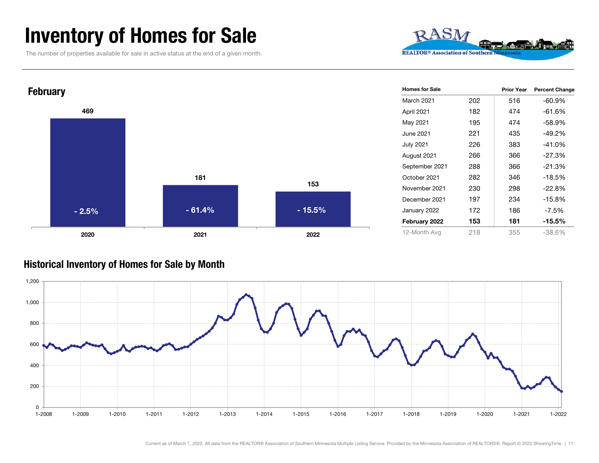### Inventory of Homes for Sale

The number of properties available for sale in active status at the end of a given month.





#### Historical Inventory of Homes for Sale by Month

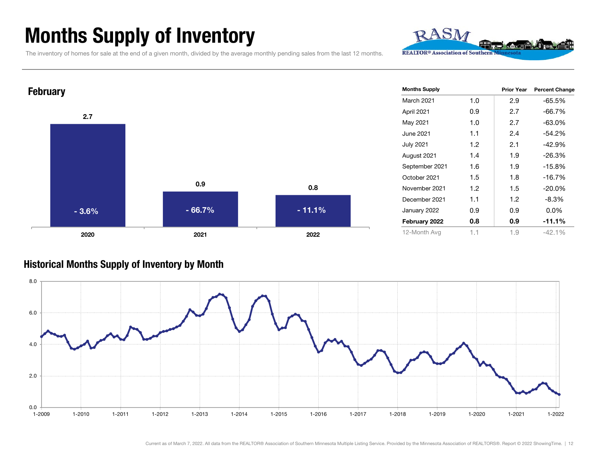### Months Supply of Inventory

The inventory of homes for sale at the end of a given month, divided by the average monthly pending sales from the last 12 months.

0.9

2021 2022

 $\sim$  0.8

- 66.7% - 11.1%

Prior Year Percent Change March 2021 1.0 2.9 -65.5%April 2021 0.9 2.7 -66.7% May 2021 1.0 2.7 -63.0% June 2021 1.1 2.4 -54.2%July 2021 1.2 2.1 -42.9% August 2021 1.4 1.9 -26.3% September 2021 1.6 1.9 -15.8% October 2021 1.5 1.8 -16.7%November 2021 1.2 1.5 -20.0%December 2021 1.1 1.2 -8.3%January 2022 0.9 0.9 0.0% February 2022 0.8 0.9 -11.1% 12-Month Avg 1.1 1.9 -42.1% Months Supply

RASN

**REALTOR® Association of Southern** 

#### Historical Months Supply of Inventory by Month

2.7

**February** 

2020

- 3.6%